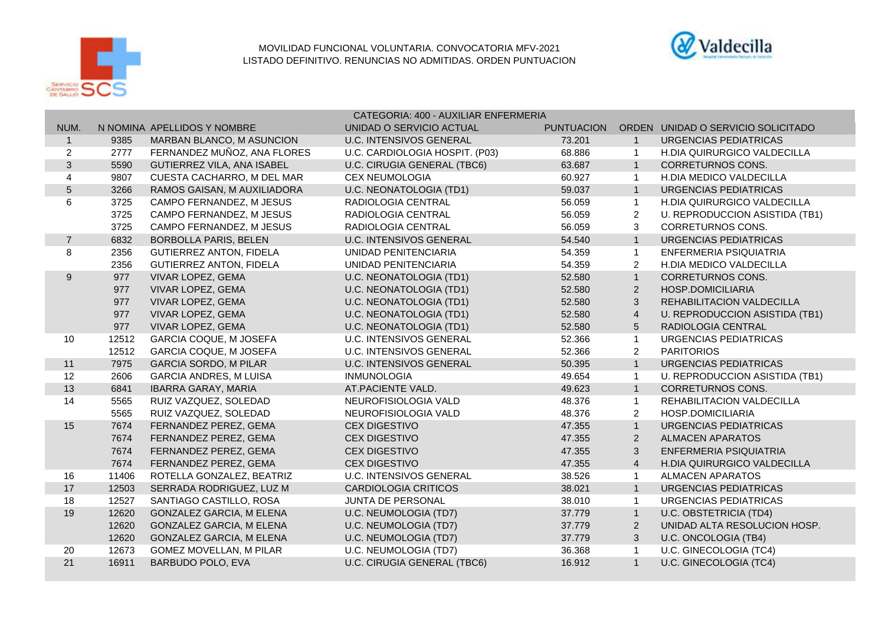



|                  |       |                                 | CATEGORIA: 400 - AUXILIAR ENFERMERIA |                   |                |                                    |  |
|------------------|-------|---------------------------------|--------------------------------------|-------------------|----------------|------------------------------------|--|
| NUM.             |       | N NOMINA APELLIDOS Y NOMBRE     | UNIDAD O SERVICIO ACTUAL             | <b>PUNTUACION</b> |                | ORDEN UNIDAD O SERVICIO SOLICITADO |  |
| $\overline{1}$   | 9385  | MARBAN BLANCO, M ASUNCION       | <b>U.C. INTENSIVOS GENERAL</b>       | 73.201            | $\overline{1}$ | URGENCIAS PEDIATRICAS              |  |
| $\overline{2}$   | 2777  | FERNANDEZ MUÑOZ, ANA FLORES     | U.C. CARDIOLOGIA HOSPIT. (P03)       | 68.886            | -1             | <b>H.DIA QUIRURGICO VALDECILLA</b> |  |
| $\mathbf{3}$     | 5590  | GUTIERREZ VILA, ANA ISABEL      | U.C. CIRUGIA GENERAL (TBC6)          | 63.687            | $\overline{1}$ | <b>CORRETURNOS CONS.</b>           |  |
| 4                | 9807  | CUESTA CACHARRO, M DEL MAR      | <b>CEX NEUMOLOGIA</b>                | 60.927            | $\overline{1}$ | H.DIA MEDICO VALDECILLA            |  |
| $\overline{5}$   | 3266  | RAMOS GAISAN, M AUXILIADORA     | U.C. NEONATOLOGIA (TD1)              | 59.037            | $\overline{1}$ | <b>URGENCIAS PEDIATRICAS</b>       |  |
| 6                | 3725  | CAMPO FERNANDEZ, M JESUS        | RADIOLOGIA CENTRAL                   | 56.059            | $\mathbf{1}$   | H.DIA QUIRURGICO VALDECILLA        |  |
|                  | 3725  | CAMPO FERNANDEZ, M JESUS        | RADIOLOGIA CENTRAL                   | 56.059            | $\overline{2}$ | U. REPRODUCCION ASISTIDA (TB1)     |  |
|                  | 3725  | CAMPO FERNANDEZ, M JESUS        | RADIOLOGIA CENTRAL                   | 56.059            | 3              | <b>CORRETURNOS CONS.</b>           |  |
| $\overline{7}$   | 6832  | <b>BORBOLLA PARIS, BELEN</b>    | <b>U.C. INTENSIVOS GENERAL</b>       | 54.540            | $\overline{1}$ | <b>URGENCIAS PEDIATRICAS</b>       |  |
| 8                | 2356  | <b>GUTIERREZ ANTON, FIDELA</b>  | UNIDAD PENITENCIARIA                 | 54.359            | $\overline{1}$ | ENFERMERIA PSIQUIATRIA             |  |
|                  | 2356  | <b>GUTIERREZ ANTON, FIDELA</b>  | UNIDAD PENITENCIARIA                 | 54.359            | $\overline{2}$ | <b>H.DIA MEDICO VALDECILLA</b>     |  |
| $\boldsymbol{9}$ | 977   | VIVAR LOPEZ, GEMA               | U.C. NEONATOLOGIA (TD1)              | 52.580            | $\mathbf{1}$   | CORRETURNOS CONS.                  |  |
|                  | 977   | VIVAR LOPEZ, GEMA               | U.C. NEONATOLOGIA (TD1)              | 52.580            | $\sqrt{2}$     | HOSP.DOMICILIARIA                  |  |
|                  | 977   | VIVAR LOPEZ, GEMA               | U.C. NEONATOLOGIA (TD1)              | 52.580            | 3              | REHABILITACION VALDECILLA          |  |
|                  | 977   | VIVAR LOPEZ, GEMA               | U.C. NEONATOLOGIA (TD1)              | 52.580            | $\overline{4}$ | U. REPRODUCCION ASISTIDA (TB1)     |  |
|                  | 977   | VIVAR LOPEZ, GEMA               | <b>U.C. NEONATOLOGIA (TD1)</b>       | 52.580            | $\sqrt{5}$     | RADIOLOGIA CENTRAL                 |  |
| 10               | 12512 | <b>GARCIA COQUE, M JOSEFA</b>   | <b>U.C. INTENSIVOS GENERAL</b>       | 52.366            | $\overline{1}$ | URGENCIAS PEDIATRICAS              |  |
|                  | 12512 | <b>GARCIA COQUE, M JOSEFA</b>   | <b>U.C. INTENSIVOS GENERAL</b>       | 52.366            | $\overline{2}$ | <b>PARITORIOS</b>                  |  |
| 11               | 7975  | <b>GARCIA SORDO, M PILAR</b>    | <b>U.C. INTENSIVOS GENERAL</b>       | 50.395            | $\mathbf{1}$   | <b>URGENCIAS PEDIATRICAS</b>       |  |
| 12               | 2606  | <b>GARCIA ANDRES, M LUISA</b>   | <b>INMUNOLOGIA</b>                   | 49.654            | $\overline{1}$ | U. REPRODUCCION ASISTIDA (TB1)     |  |
| 13               | 6841  | <b>IBARRA GARAY, MARIA</b>      | AT.PACIENTE VALD.                    | 49.623            | $\overline{1}$ | <b>CORRETURNOS CONS.</b>           |  |
| 14               | 5565  | RUIZ VAZQUEZ, SOLEDAD           | NEUROFISIOLOGIA VALD                 | 48.376            | $\overline{1}$ | REHABILITACION VALDECILLA          |  |
|                  | 5565  | RUIZ VAZQUEZ, SOLEDAD           | NEUROFISIOLOGIA VALD                 | 48.376            | 2              | <b>HOSP.DOMICILIARIA</b>           |  |
| 15               | 7674  | FERNANDEZ PEREZ, GEMA           | <b>CEX DIGESTIVO</b>                 | 47.355            | $\overline{1}$ | URGENCIAS PEDIATRICAS              |  |
|                  | 7674  | FERNANDEZ PEREZ, GEMA           | <b>CEX DIGESTIVO</b>                 | 47.355            | $\overline{2}$ | <b>ALMACEN APARATOS</b>            |  |
|                  | 7674  | FERNANDEZ PEREZ, GEMA           | <b>CEX DIGESTIVO</b>                 | 47.355            | 3              | ENFERMERIA PSIQUIATRIA             |  |
|                  | 7674  | FERNANDEZ PEREZ, GEMA           | <b>CEX DIGESTIVO</b>                 | 47.355            | $\overline{4}$ | H.DIA QUIRURGICO VALDECILLA        |  |
| 16               | 11406 | ROTELLA GONZALEZ, BEATRIZ       | <b>U.C. INTENSIVOS GENERAL</b>       | 38.526            | $\overline{1}$ | <b>ALMACEN APARATOS</b>            |  |
| 17               | 12503 | SERRADA RODRIGUEZ, LUZ M        | <b>CARDIOLOGIA CRITICOS</b>          | 38.021            | $\mathbf{1}$   | URGENCIAS PEDIATRICAS              |  |
| 18               | 12527 | SANTIAGO CASTILLO, ROSA         | <b>JUNTA DE PERSONAL</b>             | 38.010            | $\overline{1}$ | URGENCIAS PEDIATRICAS              |  |
| 19               | 12620 | <b>GONZALEZ GARCIA, M ELENA</b> | U.C. NEUMOLOGIA (TD7)                | 37.779            | $\overline{1}$ | U.C. OBSTETRICIA (TD4)             |  |
|                  | 12620 | <b>GONZALEZ GARCIA, M ELENA</b> | U.C. NEUMOLOGIA (TD7)                | 37.779            | 2              | UNIDAD ALTA RESOLUCION HOSP.       |  |
|                  | 12620 | GONZALEZ GARCIA, M ELENA        | U.C. NEUMOLOGIA (TD7)                | 37.779            | 3              | U.C. ONCOLOGIA (TB4)               |  |
| 20               | 12673 | GOMEZ MOVELLAN, M PILAR         | U.C. NEUMOLOGIA (TD7)                | 36.368            | $\overline{1}$ | U.C. GINECOLOGIA (TC4)             |  |
| 21               | 16911 | BARBUDO POLO, EVA               | U.C. CIRUGIA GENERAL (TBC6)          | 16.912            | $\mathbf{1}$   | <b>U.C. GINECOLOGIA (TC4)</b>      |  |
|                  |       |                                 |                                      |                   |                |                                    |  |